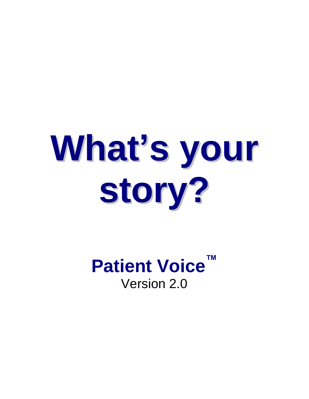# **What's your story?**

**Patient Voice™** Version 2.0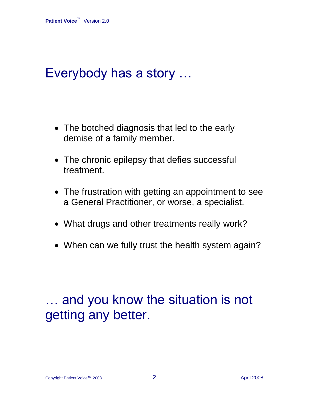### Everybody has a story …

- The botched diagnosis that led to the early demise of a family member.
- The chronic epilepsy that defies successful treatment.
- The frustration with getting an appointment to see a General Practitioner, or worse, a specialist.
- What drugs and other treatments really work?
- When can we fully trust the health system again?

### … and you know the situation is not getting any better.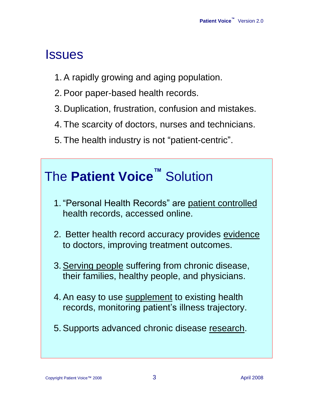### Issues

- 1. A rapidly growing and aging population.
- 2. Poor paper-based health records.
- 3. Duplication, frustration, confusion and mistakes.
- 4. The scarcity of doctors, nurses and technicians.
- 5. The health industry is not "patient-centric".

| The Patient Voice™ Solution                                                                          |
|------------------------------------------------------------------------------------------------------|
| 1. "Personal Health Records" are patient controlled<br>health records, accessed online.              |
| 2. Better health record accuracy provides evidence<br>to doctors, improving treatment outcomes.      |
| 3. Serving people suffering from chronic disease,<br>their families, healthy people, and physicians. |
| 4. An easy to use supplement to existing health<br>records, monitoring patient's illness trajectory. |
| 5. Supports advanced chronic disease research.                                                       |
|                                                                                                      |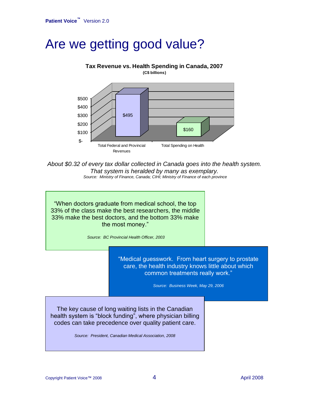### Are we getting good value?

#### \$495 \$160  $S-$ \$100 \$200 \$300 \$400 \$500 Total Federal and Provincial Revenues Total Spending on Health **Tax Revenue vs. Health Spending in Canada, 2007 (C\$ billions)**

*About \$0.32 of every tax dollar collected in Canada goes into the health system. That system is heralded by many as exemplary. Source: Ministry of Finance, Canada; CIHI; Ministry of Finance of each province*

"When doctors graduate from medical school, the top 33% of the class make the best researchers, the middle 33% make the best doctors, and the bottom 33% make the most money."

*Source: BC Provincial Health Officer, 2003*

"Medical guesswork. From heart surgery to prostate care, the health industry knows little about which common treatments really work."

*Source: Business Week, May 29, 2006*

The key cause of long waiting lists in the Canadian health system is "block funding", where physician billing codes can take precedence over quality patient care.

*Source: President, Canadian Medical Association, 2008*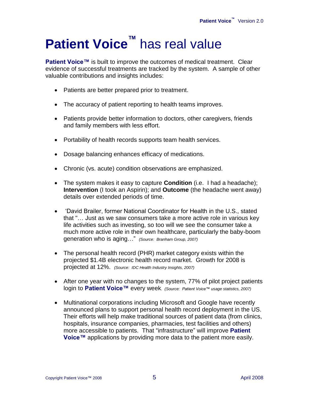# **Patient Voice™** has real value

**Patient Voice™** is built to improve the outcomes of medical treatment. Clear evidence of successful treatments are tracked by the system. A sample of other valuable contributions and insights includes:

- Patients are better prepared prior to treatment.
- The accuracy of patient reporting to health teams improves.
- Patients provide better information to doctors, other caregivers, friends and family members with less effort.
- Portability of health records supports team health services.
- Dosage balancing enhances efficacy of medications.
- Chronic (vs. acute) condition observations are emphasized.
- The system makes it easy to capture **Condition** (i.e. I had a headache); **Intervention** (I took an Aspirin); and **Outcome** (the headache went away) details over extended periods of time.
- 'David Brailer, former National Coordinator for Health in the U.S., stated that "… Just as we saw consumers take a more active role in various key life activities such as investing, so too will we see the consumer take a much more active role in their own healthcare, particularly the baby-boom generation who is aging…" *(Source: Branham Group, 2007)*
- The personal health record (PHR) market category exists within the projected \$1.4B electronic health record market. Growth for 2008 is projected at 12%. *(Source: IDC Health Industry Insights, 2007)*
- After one year with no changes to the system, 77% of pilot project patients login to **Patient Voice™** every week. *(Source: Patient Voice™ usage statistics, 2007)*
- Multinational corporations including Microsoft and Google have recently announced plans to support personal health record deployment in the US. Their efforts will help make traditional sources of patient data (from clinics, hospitals, insurance companies, pharmacies, test facilities and others) more accessible to patients. That "infrastructure" will improve **Patient Voice™** applications by providing more data to the patient more easily.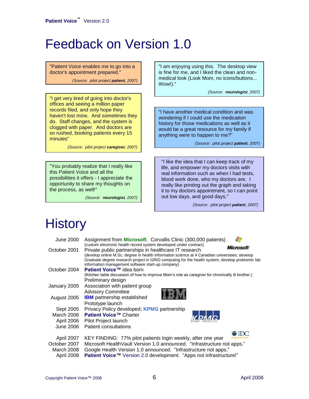### Feedback on Version 1.0

"Patient Voice enables me to go into a doctor's appointment prepared."

*(Source: pilot project patient, 2007)*

"I get very tired of going into doctor's offices and seeing a million paper records filed, and only hope they haven't lost mine. And sometimes they do. Staff changes, and the system is clogged with paper. And doctors are so rushed, booking patients every 15 minutes"

*(Source: pilot project caregiver, 2007)*

"You probably realize that I really like this Patient Voice and all the possibilities it offers - I appreciate the opportunity to share my thoughts on the process, as well!"

*(Source: neurologist, 2007)*

"I am enjoying using this. The desktop view is fine for me, and I liked the clean and nonmedical look (Look Mom, no icons/buttons... Wow!)."

*(Source: neurologist, 2007)*

"I have another medical condition and was wondering if I could use the medication history for those medications as well as it would be a great resource for my family if anything were to happen to me?"

*(Source: pilot project patient, 2007)*

"I like the idea that I can keep track of my life, and empower my doctors visits with real information such as when I had tests, blood work done, who my doctors are. I really like printing out the graph and taking it to my doctors appointment, so I can point out low days, and good days."

*(Source: pilot project patient, 2007)*

### **History**

| <b>June 2000</b> | Assignment from <b>Microsoft</b> . Corvallis Clinic (300,000 patients)                            |
|------------------|---------------------------------------------------------------------------------------------------|
|                  | (custom electronic health record system developed under contract)<br><i><b>Microsoft</b></i>      |
| October 2001     | Private public partnerships in healthcare IT research                                             |
|                  | (develop online M.Sc. degree in health information science at 4 Canadian universities; develop    |
|                  | Graduate degree research project in GRID computing for the health system; develop proteomic lab   |
| October 2004     | information management software start-up company)<br>Patient Voice™ idea born                     |
|                  |                                                                                                   |
|                  | (Kitchen table discussion of how to improve Mom's role as caregiver for chronically ill brother.) |
|                  | Preliminary design                                                                                |
| January 2005     | Association with patient group                                                                    |
|                  | <b>Advisory Committee</b>                                                                         |
| August 2005      | <b>IBM</b> partnership established                                                                |
|                  | Prototype launch                                                                                  |
| Sept 2005        | Privacy Policy developed, <b>KPMG</b> partnership                                                 |
| March 2006       | <b>Patient Voice™ Charter</b><br>K.PMG.                                                           |
|                  | April 2006 Pilot Project launch                                                                   |
| June 2006        | <b>Patient consultations</b>                                                                      |
|                  |                                                                                                   |
| April 2007       | KEY FINDING: 77% pilot patients login weekly, after one year                                      |
| October 2007     | Microsoft Health Vault Version 1.0 announced. "Infrastructure not apps."                          |
| March 2008       | Google Health Version 1.0 announced. "Infrastructure not apps."                                   |
| April 2008       | Patient Voice™ Version 2.0 development. "Apps not infrastructure!"                                |
|                  |                                                                                                   |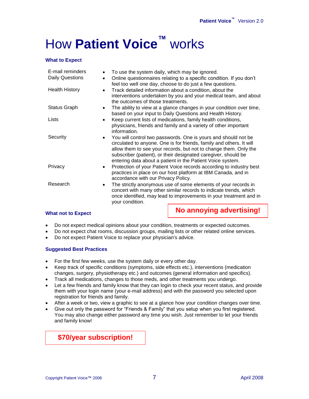# How **Patient Voice™** works

#### **What to Expect**

| E-mail reminders       | To use the system daily, which may be ignored.<br>$\bullet$                                                                                                                                                                                                                                                                                |  |  |
|------------------------|--------------------------------------------------------------------------------------------------------------------------------------------------------------------------------------------------------------------------------------------------------------------------------------------------------------------------------------------|--|--|
| <b>Daily Questions</b> | Online questionnaires relating to a specific condition. If you don't<br>$\bullet$<br>feel too well one day, choose to do just a few questions.                                                                                                                                                                                             |  |  |
| <b>Health History</b>  | Track detailed information about a condition, about the<br>$\bullet$<br>interventions undertaken by you and your medical team, and about<br>the outcomes of those treatments.                                                                                                                                                              |  |  |
| <b>Status Graph</b>    | The ability to view at a glance changes in your condition over time,<br>$\bullet$<br>based on your input to Daily Questions and Health History.                                                                                                                                                                                            |  |  |
| Lists                  | Keep current lists of medications, family health conditions,<br>$\bullet$<br>physicians, friends and family and a variety of other important<br>information.                                                                                                                                                                               |  |  |
| Security               | You will control two passwords. One is yours and should not be<br>circulated to anyone. One is for friends, family and others. It will<br>allow them to see your records, but not to change them. Only the<br>subscriber (patient), or their designated caregiver, should be<br>entering data about a patient in the Patient Voice system. |  |  |
| Privacy                | Protection of your Patient Voice records according to industry best<br>practices in place on our host platform at IBM Canada, and in<br>accordance with our Privacy Policy.                                                                                                                                                                |  |  |
| Research               | The strictly anonymous use of some elements of your records in<br>concert with many other similar records to indicate trends, which<br>once identified, may lead to improvements in your treatment and in<br>your condition.                                                                                                               |  |  |
|                        | No annoving advertising!                                                                                                                                                                                                                                                                                                                   |  |  |

#### **What not to Expect**

**No annoying advertising!**

- Do not expect medical opinions about your condition, treatments or expected outcomes.
- Do not expect chat rooms, discussion groups, mailing lists or other related online services.
- Do not expect Patient Voice to replace your physician's advice.

#### **Suggested Best Practices**

- For the first few weeks, use the system daily or every other day.
- Keep track of specific conditions (symptoms, side effects etc.), interventions (medication changes, surgery, physiotherapy etc.) and outcomes (general information and specifics).
- Track all medications, changes to those meds, and other treatments you undergo.
- Let a few friends and family know that they can login to check your recent status, and provide them with your login name (your e-mail address) and with the password you selected upon registration for friends and family.
- After a week or two, view a graphic to see at a glance how your condition changes over time.
- Give out only the password for "Friends & Family" that you setup when you first registered. You may also change either password any time you wish. Just remember to let your friends and family know!

**\$70/year subscription!**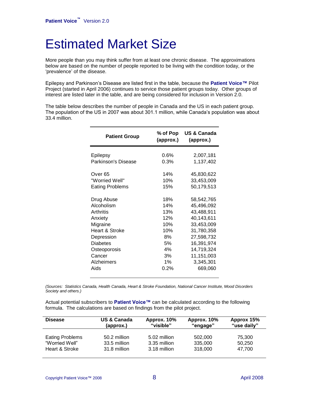### Estimated Market Size

More people than you may think suffer from at least one chronic disease. The approximations below are based on the number of people reported to be living with the condition today, or the 'prevalence' of the disease.

Epilepsy and Parkinson's Disease are listed first in the table, because the **Patient Voice™** Pilot Project (started in April 2006) continues to service those patient groups today. Other groups of interest are listed later in the table, and are being considered for inclusion in Version 2.0.

The table below describes the number of people in Canada and the US in each patient group. The population of the US in 2007 was about 301.1 million, while Canada's population was about 33.4 million.

| <b>Patient Group</b>   | % of Pop<br>(approx.) | US & Canada<br>(approx.) |
|------------------------|-----------------------|--------------------------|
| Epilepsy               | 0.6%                  | 2,007,181                |
| Parkinson's Disease    | 0.3%                  | 1,137,402                |
| Over 65                | 14%                   | 45,830,622               |
| "Worried Well"         | 10%                   | 33,453,009               |
| <b>Eating Problems</b> | 15%                   | 50,179,513               |
| Drug Abuse             | 18%                   | 58,542,765               |
| Alcoholism             | 14%                   | 45,496,092               |
| Arthritis              | 13%                   | 43,488,911               |
| Anxiety                | 12%                   | 40,143,611               |
| Migraine               | 10%                   | 33,453,009               |
| Heart & Stroke         | 10%                   | 31,780,358               |
| Depression             | 8%                    | 27,598,732               |
| <b>Diabetes</b>        | 5%                    | 16,391,974               |
| Osteoporosis           | 4%                    | 14,719,324               |
| Cancer                 | 3%                    | 11,151,003               |
| Alzheimers             | 1%                    | 3,345,301                |
| Aids                   | 0.2%                  | 669,060                  |

*(Sources: Statistics Canada, Health Canada, Heart & Stroke Foundation, National Cancer Institute, Mood Disorders Society and others.)*

Actual potential subscribers to **Patient Voice™** can be calculated according to the following formula. The calculations are based on findings from the pilot project.

| <b>Disease</b>         | <b>US &amp; Canada</b> | Approx. 10%  | Approx. 10% | Approx 15%  |
|------------------------|------------------------|--------------|-------------|-------------|
|                        | (approx.)              | "visible"    | "engage"    | "use daily" |
| <b>Eating Problems</b> | 50.2 million           | 5.02 million | 502,000     | 75,300      |
| "Worried Well"         | 33.5 million           | 3.35 million | 335,000     | 50,250      |
| Heart & Stroke         | 31.8 million           | 3.18 million | 318,000     | 47.700      |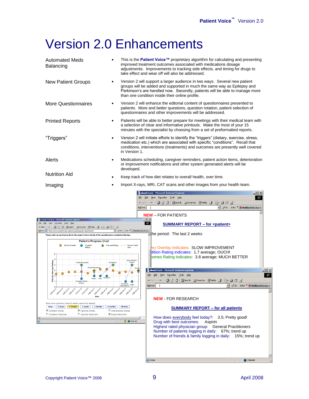### Version 2.0 Enhancements

| <b>Automated Meds</b><br>Balancing                                                                                                      |  | This is the <b>Patient Voice™</b> proprietary algorithm for calculating and presenting<br>improved treatment outcomes associated with medications dosage<br>adjustments. Improvements to tracking side effects, and timing for drugs to<br>take effect and wear off will also be addressed. |  |  |
|-----------------------------------------------------------------------------------------------------------------------------------------|--|---------------------------------------------------------------------------------------------------------------------------------------------------------------------------------------------------------------------------------------------------------------------------------------------|--|--|
| <b>New Patient Groups</b>                                                                                                               |  | Version 2 will support a larger audience in two ways. Several new patient<br>groups will be added and supported in much the same way as Epilepsy and<br>Parkinson's are handled now. Secondly, patients will be able to manage more<br>than one condition inside their online profile.      |  |  |
| <b>More Questionnaires</b>                                                                                                              |  | Version 2 will enhance the editorial content of questionnaires presented to<br>patients. More and better questions, question rotation, patient selection of<br>questionnaires and other improvements will be addressed.                                                                     |  |  |
| <b>Printed Reports</b>                                                                                                                  |  | Patients will be able to better prepare for meetings with their medical team with<br>a selection of clear and informative printouts. Make the most of your 15<br>minutes with the specialist by choosing from a set of preformatted reports.                                                |  |  |
| "Triggers"                                                                                                                              |  | Version 2 will initiate efforts to identify the "triggers" (dietary, exercise, stress,<br>medication etc.) which are associated with specific "conditions". Recall that<br>conditions, interventions (treatments) and outcomes are presently well covered<br>in Version 1.                  |  |  |
| Alerts                                                                                                                                  |  | Medications scheduling, caregiver reminders, patient action items, deterioration<br>or improvement notifications and other system generated alerts will be<br>developed.                                                                                                                    |  |  |
| <b>Nutrition Aid</b>                                                                                                                    |  | Keep track of how diet relates to overall health, over time.                                                                                                                                                                                                                                |  |  |
| Imaging                                                                                                                                 |  | Import X-rays, MRI, CAT scans and other images from your health team.                                                                                                                                                                                                                       |  |  |
|                                                                                                                                         |  | about:blank - Microsoft Internet Explorer<br>$\Box$ o $\Box$                                                                                                                                                                                                                                |  |  |
|                                                                                                                                         |  | 编<br>Edit View Favorites Tools Help                                                                                                                                                                                                                                                         |  |  |
|                                                                                                                                         |  | ←Back - → - ④ D) 企   ⊙QSearch @ Favorites ※Media ※   乾- 刍 ゴ 目                                                                                                                                                                                                                               |  |  |
|                                                                                                                                         |  | V & Go Links >> M McAfee SiteAdvisor<br>Address                                                                                                                                                                                                                                             |  |  |
|                                                                                                                                         |  | <b>NEW - FOR PATIENTS</b>                                                                                                                                                                                                                                                                   |  |  |
| Patient's Status - Microsoft Internet Explorer<br>View Favorites Tools Help                                                             |  | $-10x$<br>$\mathbf{m}$                                                                                                                                                                                                                                                                      |  |  |
| ・→・@② 企   QSearch GilFavorkes (PMedia ③   马・④   ⊙  ・ 国                                                                                  |  | <b>SUMMARY REPORT - for <patient></patient></b>                                                                                                                                                                                                                                             |  |  |
| v 0Go Links >> McAfee SteAdvisor<br>Address   8 https://www.patientvoice.ca/survey/datagraph.asp#bottom<br>The period: The last 2 weeks |  |                                                                                                                                                                                                                                                                                             |  |  |
| Please click on any Survey Box in the graph to view details of the questionnaire completed that day.                                    |  |                                                                                                                                                                                                                                                                                             |  |  |
| <b>Patient's Progress Chart</b>                                                                                                         |  |                                                                                                                                                                                                                                                                                             |  |  |
| Survey Overlay<br>Condition                                                                                                             |  | Outcome Rating ---- Survey Trend<br>ey Overlay indicates: SLOW IMPROVEMENT<br>Line                                                                                                                                                                                                          |  |  |
|                                                                                                                                         |  | dition Rating indicates: 1.7 average; OUCH!                                                                                                                                                                                                                                                 |  |  |

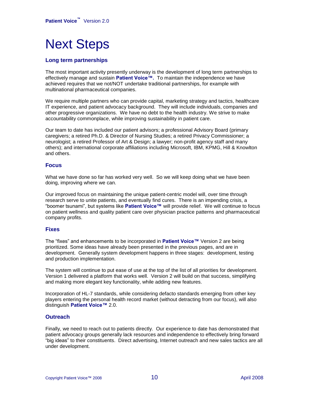### Next Steps

#### **Long term partnerships**

The most important activity presently underway is the development of long term partnerships to effectively manage and sustain **Patient Voice™.** To maintain the independence we have achieved requires that we not/NOT undertake traditional partnerships, for example with multinational pharmaceutical companies.

We require multiple partners who can provide capital, marketing strategy and tactics, healthcare IT experience, and patient advocacy background. They will include individuals, companies and other progressive organizations. We have no debt to the health industry. We strive to make accountability commonplace, while improving sustainability in patient care.

Our team to date has included our patient advisors; a professional Advisory Board (primary caregivers; a retired Ph.D. & Director of Nursing Studies; a retired Privacy Commissioner; a neurologist; a retired Professor of Art & Design; a lawyer; non-profit agency staff and many others); and international corporate affiliations including Microsoft, IBM, KPMG, Hill & Knowlton and others.

#### **Focus**

What we have done so far has worked very well. So we will keep doing what we have been doing, improving where we can.

Our improved focus on maintaining the unique patient-centric model will, over time through research serve to unite patients, and eventually find cures. There is an impending crisis, a "boomer tsunami", but systems like **Patient Voice™** will provide relief. We will continue to focus on patient wellness and quality patient care over physician practice patterns and pharmaceutical company profits.

#### **Fixes**

The "fixes" and enhancements to be incorporated in **Patient Voice™** Version 2 are being prioritized. Some ideas have already been presented in the previous pages, and are in development. Generally system development happens in three stages: development, testing and production implementation.

The system will continue to put ease of use at the top of the list of all priorities for development. Version 1 delivered a platform that works well. Version 2 will build on that success, simplifying and making more elegant key functionality, while adding new features.

Incorporation of HL-7 standards, while considering defacto standards emerging from other key players entering the personal health record market (without detracting from our focus), will also distinguish **Patient Voice™** 2.0.

#### **Outreach**

Finally, we need to reach out to patients directly. Our experience to date has demonstrated that patient advocacy groups generally lack resources and independence to effectively bring forward "big ideas" to their constituents. Direct advertising, Internet outreach and new sales tactics are all under development.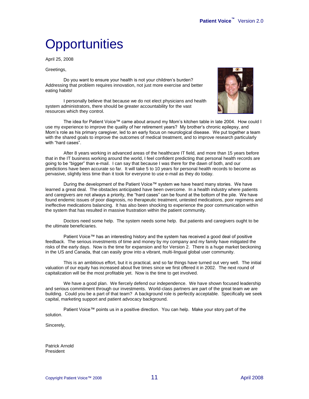## **Opportunities**

April 25, 2008

Greetings,

Do you want to ensure your health is not your children's burden? Addressing that problem requires innovation, not just more exercise and better eating habits!

I personally believe that because we do not elect physicians and health system administrators, there should be greater accountability for the vast resources which they control.



The idea for Patient Voice™ came about around my Mom's kitchen table in late 2004. How could I use my experience to improve the quality of her retirement years? My brother's chronic epilepsy, and Mom's role as his primary caregiver, led to an early focus on neurological disease. We put together a team with the shared goals to improve the outcomes of medical treatment, and to improve research particularly with "hard cases".

After 8 years working in advanced areas of the healthcare IT field, and more than 15 years before that in the IT business working around the world, I feel confident predicting that personal health records are going to be "bigger" than e-mail. I can say that because I was there for the dawn of both, and our predictions have been accurate so far. It will take 5 to 10 years for personal health records to become as pervasive, slightly less time than it took for everyone to use e-mail as they do today.

During the development of the Patient Voice™ system we have heard many stories. We have learned a great deal. The obstacles anticipated have been overcome. In a health industry where patients and caregivers are not always a priority, the "hard cases" can be found at the bottom of the pile. We have found endemic issues of poor diagnosis, no therapeutic treatment, untested medications, poor regimens and ineffective medications balancing. It has also been shocking to experience the poor communication within the system that has resulted in massive frustration within the patient community.

Doctors need some help. The system needs some help. But patients and caregivers ought to be the ultimate beneficiaries.

Patient Voice™ has an interesting history and the system has received a good deal of positive feedback. The serious investments of time and money by my company and my family have mitigated the risks of the early days. Now is the time for expansion and for Version 2. There is a huge market beckoning in the US and Canada, that can easily grow into a vibrant, multi-lingual global user community.

This is an ambitious effort, but it is practical, and so far things have turned out very well. The initial valuation of our equity has increased about five times since we first offered it in 2002. The next round of capitalization will be the most profitable yet. Now is the time to get involved.

We have a good plan. We fiercely defend our independence. We have shown focused leadership and serious commitment through our investments. World-class partners are part of the great team we are building. Could you be a part of that team? A background role is perfectly acceptable. Specifically we seek capital, marketing support and patient advocacy background.

Patient Voice™ points us in a positive direction. You can help. Make your story part of the solution.

Sincerely,

Patrick Arnold President